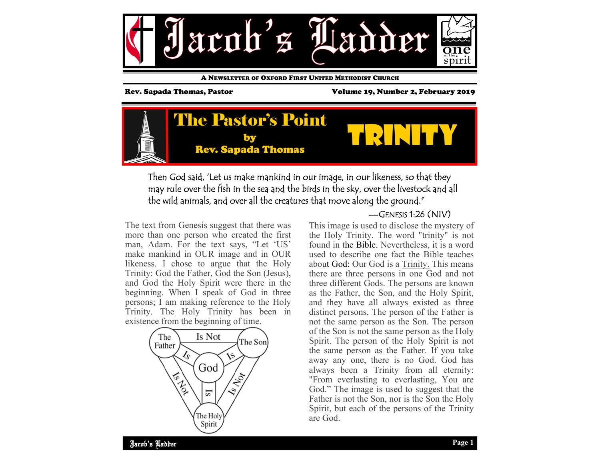

A NEWSLETTER OF OXFORD FIRST UNITED METHODIST CHURCH

Rev. Sapada Thomas, Pastor Volume 19, Number 2, February 2019



Then God said, 'Let us make mankind in our image, in our likeness, so that they may rule over the fish in the sea and the birds in the sky, over the livestock and all the wild animals, and over all the creatures that move along the ground."

The text from Genesis suggest that there was more than one person who created the first man, Adam. For the text says, "Let 'US' make mankind in OUR image and in OUR likeness. I chose to argue that the Holy Trinity: God the Father, God the Son (Jesus), and God the Holy Spirit were there in the beginning. When I speak of God in three persons; I am making reference to the Holy Trinity. The Holy Trinity has been in existence from the beginning of time.



### —GENESIS 1:26 (NIV)

This image is used to disclose the mystery of the Holy Trinity. The word "trinity" is not found in the Bible. Nevertheless, it is a word used to describe one fact the Bible teaches about God: Our God is a Trinity. This means there are three persons in one God and not three different Gods. The persons are known as the Father, the Son, and the Holy Spirit, and they have all always existed as three distinct persons. The person of the Father is not the same person as the Son. The person of the Son is not the same person as the Holy Spirit. The person of the Holy Spirit is not the same person as the Father. If you take away any one, there is no God. God has always been a Trinity from all eternity: "From everlasting to everlasting, You are God." The image is used to suggest that the Father is not the Son, nor is the Son the Holy Spirit, but each of the persons of the Trinity are God.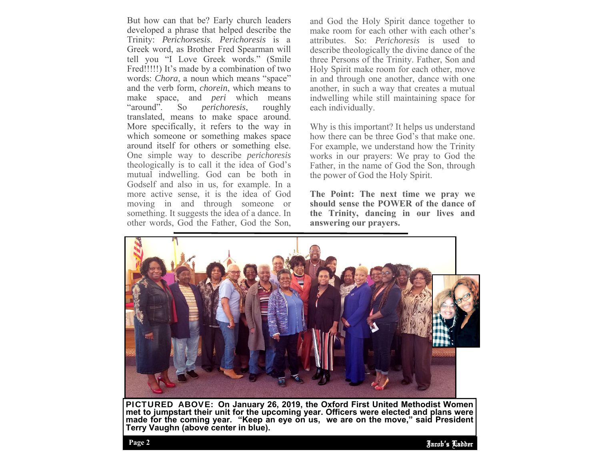But how can that be? Early church leaders developed a phrase that helped describe the Trinity: *Perichorsesis*. *Perichoresis* is a Greek word, as Brother Fred Spearman will tell you "I Love Greek words." (Smile Fred!!!!!) It's made by a combination of two words: *Chora*, a noun which means "space" and the verb form, *chorein*, which means to make space, and *peri* which means "around". So *perichoresis*, roughly translated, means to make space around. More specifically, it refers to the way in which someone or something makes space around itself for others or something else. One simple way to describe *perichoresis* theologically is to call it the idea of God's mutual indwelling. God can be both in Godself and also in us, for example. In a more active sense, it is the idea of God moving in and through someone or something. It suggests the idea of a dance. In other words, God the Father, God the Son, and God the Holy Spirit dance together to make room for each other with each other's attributes. So: *Perichoresis* is used to describe theologically the divine dance of the three Persons of the Trinity. Father, Son and Holy Spirit make room for each other, move in and through one another, dance with one another, in such a way that creates a mutual indwelling while still maintaining space for each individually.

Why is this important? It helps us understand how there can be three God's that make one. For example, we understand how the Trinity works in our prayers: We pray to God the Father, in the name of God the Son, through the power of God the Holy Spirit.

**The Point: The next time we pray we should sense the POWER of the dance of the Trinity, dancing in our lives and answering our prayers.** 



PICTURED ABOVE: On January 26, 2019, the Oxford First United Methodist Women<br>met to jumpstart their unit for the upcoming year. Officers were elected and plans were<br>made for the coming year. "Keep an eye on us, we are on t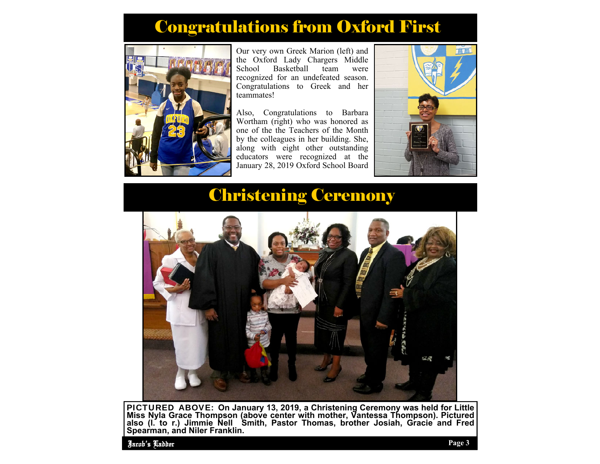## Congratulations from Oxford First



Our very own Greek Marion (left) and the Oxford Lady Chargers Middle<br>School Basketball team were Basketball recognized for an undefeated season. Congratulations to Greek and her teammates!

Also, Congratulations to Barbara Wortham (right) who was honored as one of the the Teachers of the Month by the colleagues in her building. She, along with eight other outstanding educators were recognized at the January 28, 2019 Oxford School Board



### Christening Ceremony



PICTURED ABOVE: On January 13, 2019, a Christening Ceremony was held for Little Miss Nyla Grace Thompson (above center with mother, Vantessa Thompson). Pictured also (I. to r.) Jimmie Nell Smith, Pastor Thomas, brother Jos

Page 2 Jacob's Ladder Jacob's Ladder **Page 3 Page 3**